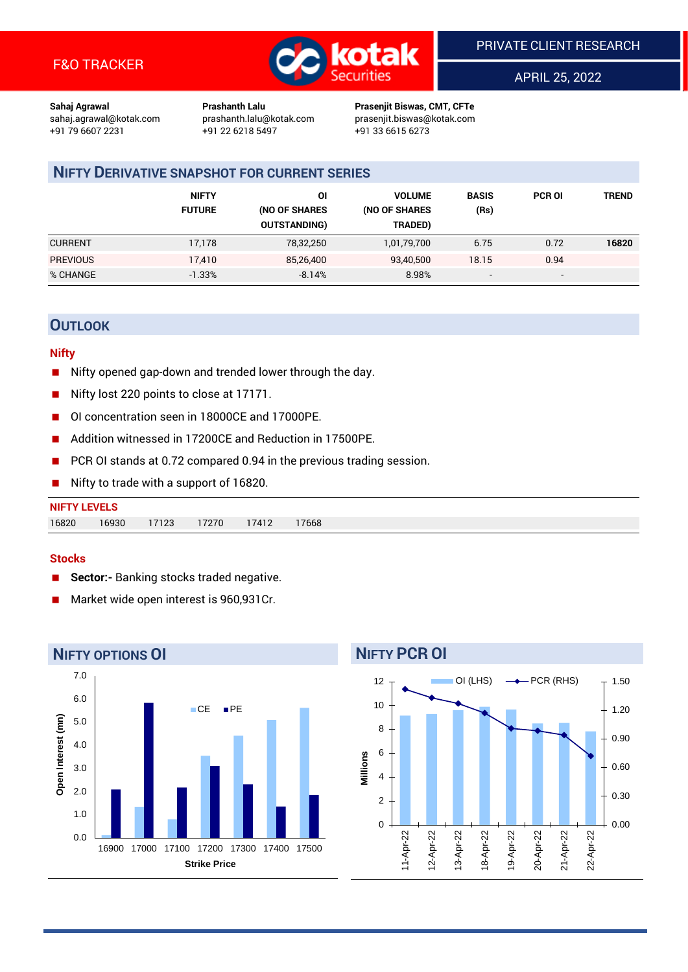

APRIL 25, 2022

**Sahaj Agrawal Prashanth Lalu Prasenjit Biswas, CMT, CFTe** +91 22 6218 5497 +91 33 6615 6273

sahaj.agrawal@kotak.com [prashanth.lalu@kotak.com](mailto:prashanth.lalu@kotak.com) prasenjit.biswas@kotak.com

# **NIFTY DERIVATIVE SNAPSHOT FOR CURRENT SERIES**

|                 | <b>NIFTY</b><br><b>FUTURE</b> | ΟI<br>(NO OF SHARES<br><b>OUTSTANDING)</b> | <b>VOLUME</b><br>(NO OF SHARES<br>TRADED) | <b>BASIS</b><br>(Rs)     | <b>PCR OI</b> | TREND |
|-----------------|-------------------------------|--------------------------------------------|-------------------------------------------|--------------------------|---------------|-------|
| <b>CURRENT</b>  | 17,178                        | 78,32,250                                  | 1,01,79,700                               | 6.75                     | 0.72          | 16820 |
| <b>PREVIOUS</b> | 17,410                        | 85,26,400                                  | 93,40,500                                 | 18.15                    | 0.94          |       |
| % CHANGE        | $-1.33%$                      | $-8.14%$                                   | 8.98%                                     | $\overline{\phantom{a}}$ | -             |       |

## **OUTLOOK**

#### **Nifty**

- Nifty opened gap-down and trended lower through the day.
- Nifty lost 220 points to close at 17171.
- OI concentration seen in 18000CE and 17000PE.
- Addition witnessed in 17200CE and Reduction in 17500PE.
- PCR OI stands at 0.72 compared 0.94 in the previous trading session.
- Nifty to trade with a support of 16820.

| 16820<br>16930 | <b>NIFTY LEVELS</b> |       |       |       |       |
|----------------|---------------------|-------|-------|-------|-------|
|                |                     | 17123 | 17270 | 17412 | 17668 |

#### **Stocks**

- **Sector:-** Banking stocks traded negative.
- Market wide open interest is 960,931Cr.



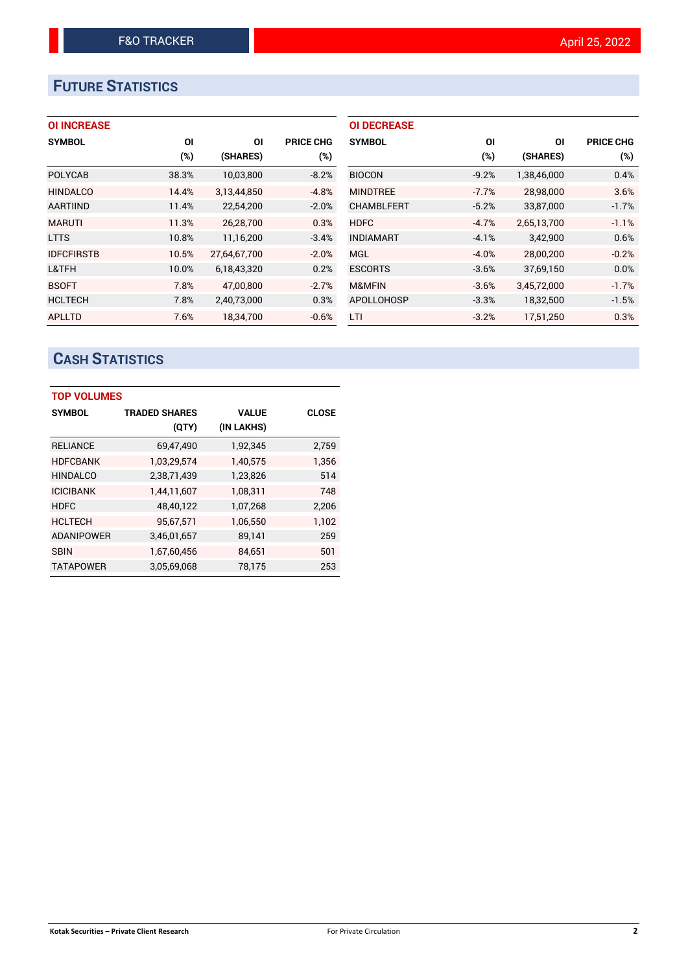# **FUTURE STATISTICS**

## **OI INCREASE**

| <b>SYMBOL</b>     | ΟI    | ΟI           | <b>PRICE CHG</b> |
|-------------------|-------|--------------|------------------|
|                   | (%)   | (SHARES)     | (%)              |
| <b>POLYCAB</b>    | 38.3% | 10,03,800    | $-8.2%$          |
| <b>HINDALCO</b>   | 14.4% | 3,13,44,850  | $-4.8%$          |
| <b>AARTIIND</b>   | 11.4% | 22,54,200    | $-2.0%$          |
| <b>MARUTI</b>     | 11.3% | 26,28,700    | 0.3%             |
| <b>LTTS</b>       | 10.8% | 11,16,200    | $-3.4%$          |
| <b>IDFCFIRSTB</b> | 10.5% | 27.64.67.700 | $-2.0%$          |
| L&TFH             | 10.0% | 6,18,43,320  | 0.2%             |
| <b>BSOFT</b>      | 7.8%  | 47,00,800    | $-2.7%$          |
| <b>HCLTECH</b>    | 7.8%  | 2,40,73,000  | 0.3%             |
| APLLTD            | 7.6%  | 18.34.700    | $-0.6%$          |

| ΟI      | ΟI          | <b>PRICE CHG</b> |
|---------|-------------|------------------|
| (%)     | (SHARES)    | (%)              |
| $-9.2%$ | 1,38,46,000 | 0.4%             |
| $-7.7%$ | 28,98,000   | 3.6%             |
| $-5.2%$ | 33,87,000   | $-1.7%$          |
| $-4.7%$ | 2,65,13,700 | $-1.1%$          |
| $-4.1%$ | 3,42,900    | 0.6%             |
| $-4.0%$ | 28,00,200   | $-0.2%$          |
| $-3.6%$ | 37,69,150   | 0.0%             |
| $-3.6%$ | 3,45,72,000 | $-1.7%$          |
| $-3.3%$ | 18,32,500   | $-1.5%$          |
| $-3.2%$ | 17.51.250   | 0.3%             |
|         |             |                  |

# **CASH STATISTICS**

| <b>TOP VOLUMES</b> |                      |              |              |
|--------------------|----------------------|--------------|--------------|
| <b>SYMBOL</b>      | <b>TRADED SHARES</b> | <b>VALUE</b> | <b>CLOSE</b> |
|                    | (QTY)                | (IN LAKHS)   |              |
| <b>RELIANCE</b>    | 69,47,490            | 1,92,345     | 2,759        |
| <b>HDFCBANK</b>    | 1,03,29,574          | 1,40,575     | 1.356        |
| <b>HINDALCO</b>    | 2,38,71,439          | 1,23,826     | 514          |
| <b>ICICIBANK</b>   | 1,44,11,607          | 1,08,311     | 748          |
| <b>HDFC</b>        | 48,40,122            | 1,07,268     | 2,206        |
| <b>HCLTECH</b>     | 95,67,571            | 1,06,550     | 1,102        |
| <b>ADANIPOWER</b>  | 3,46,01,657          | 89,141       | 259          |
| <b>SBIN</b>        | 1,67,60,456          | 84,651       | 501          |
| <b>TATAPOWER</b>   | 3,05,69,068          | 78,175       | 253          |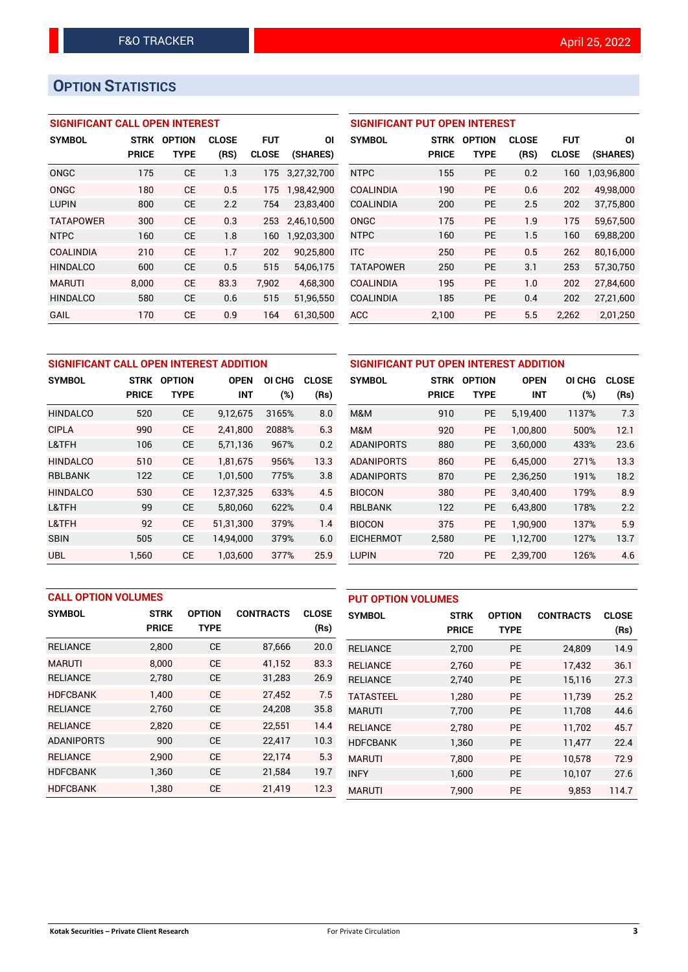# **OPTION STATISTICS**

### **SIGNIFICANT CALL OPEN INTEREST**

| <b>SYMBOL</b>    | <b>STRK</b>  | <b>OPTION</b> | <b>CLOSE</b> | <b>FUT</b>   | ΟI          |
|------------------|--------------|---------------|--------------|--------------|-------------|
|                  | <b>PRICE</b> | TYPE          | (RS)         | <b>CLOSE</b> | (SHARES)    |
| ONGC             | 175          | CE            | 1.3          | 175          | 3,27,32,700 |
| ONGC             | 180          | CE            | 0.5          | 175          | 1,98,42,900 |
| <b>LUPIN</b>     | 800          | CE            | 2.2          | 754          | 23,83,400   |
| <b>TATAPOWER</b> | 300          | CE            | 0.3          | 253          | 2,46,10,500 |
| <b>NTPC</b>      | 160          | CE            | 1.8          | 160          | 1,92,03,300 |
| <b>COALINDIA</b> | 210          | CE            | 1.7          | 202          | 90,25,800   |
| <b>HINDALCO</b>  | 600          | CE            | 0.5          | 515          | 54,06,175   |
| <b>MARUTI</b>    | 8,000        | CE            | 83.3         | 7,902        | 4,68,300    |
| <b>HINDALCO</b>  | 580          | CE            | 0.6          | 515          | 51,96,550   |
| GAIL             | 170          | CE            | 0.9          | 164          | 61.30.500   |

## **SIGNIFICANT PUT OPEN INTEREST SYMBOL STRK OPTION CLOSE FUT OI PRICE TYPE (RS) CLOSE (SHARES)** NTPC 155 PE 0.2 160 1,03,96,800 COALINDIA 190 PE 0.6 202 49,98,000 COALINDIA 200 PE 2.5 202 37,75,800 ONGC 175 PE 1.9 175 59,67,500 NTPC 160 PE 1.5 160 69,88,200 ITC 250 PE 0.5 262 80,16,000 TATAPOWER 250 PE 3.1 253 57,30,750 COALINDIA 195 PE 1.0 202 27,84,600 COALINDIA 185 PE 0.4 202 27,21,600 ACC 2,100 PE 5.5 2,262 2,01,250

| SIGNIFICANT CALL OPEN INTEREST ADDITION | <b>SIGNIFICA</b> |               |             |        |              |                 |
|-----------------------------------------|------------------|---------------|-------------|--------|--------------|-----------------|
| <b>SYMBOL</b>                           | <b>STRK</b>      | <b>OPTION</b> | <b>OPEN</b> | OI CHG | <b>CLOSE</b> | <b>SYMBOL</b>   |
|                                         | <b>PRICE</b>     | <b>TYPE</b>   | <b>INT</b>  | (%)    | (Rs)         |                 |
| <b>HINDALCO</b>                         | 520              | <b>CE</b>     | 9,12,675    | 3165%  | 8.0          | M&M             |
| <b>CIPLA</b>                            | 990              | <b>CE</b>     | 2,41,800    | 2088%  | 6.3          | M&M             |
| L&TFH                                   | 106              | <b>CE</b>     | 5,71,136    | 967%   | 0.2          | <b>ADANIPOR</b> |
| <b>HINDALCO</b>                         | 510              | <b>CE</b>     | 1.81.675    | 956%   | 13.3         | <b>ADANIPOR</b> |
| <b>RBLBANK</b>                          | 122              | <b>CE</b>     | 1,01,500    | 775%   | 3.8          | <b>ADANIPOR</b> |
| <b>HINDALCO</b>                         | 530              | <b>CE</b>     | 12.37.325   | 633%   | 4.5          | <b>BIOCON</b>   |
| L&TFH                                   | 99               | <b>CE</b>     | 5,80,060    | 622%   | 0.4          | <b>RBLBANK</b>  |
| L&TFH                                   | 92               | <b>CE</b>     | 51.31.300   | 379%   | 1.4          | <b>BIOCON</b>   |
| <b>SBIN</b>                             | 505              | <b>CE</b>     | 14,94,000   | 379%   | 6.0          | <b>EICHERMO</b> |
| <b>UBL</b>                              | 1.560            | <b>CE</b>     | 1,03,600    | 377%   | 25.9         | <b>LUPIN</b>    |

|                   | SIGNIFICANT PUT OPEN INTEREST ADDITION |               |             |        |              |  |  |
|-------------------|----------------------------------------|---------------|-------------|--------|--------------|--|--|
| <b>SYMBOL</b>     | <b>STRK</b>                            | <b>OPTION</b> | <b>OPEN</b> | OI CHG | <b>CLOSE</b> |  |  |
|                   | <b>PRICE</b>                           | <b>TYPE</b>   | INT         | $(\%)$ | (Rs)         |  |  |
| M&M               | 910                                    | <b>PE</b>     | 5,19,400    | 1137%  | 7.3          |  |  |
| M&M               | 920                                    | <b>PE</b>     | 1,00,800    | 500%   | 12.1         |  |  |
| <b>ADANIPORTS</b> | 880                                    | <b>PE</b>     | 3,60,000    | 433%   | 23.6         |  |  |
| <b>ADANIPORTS</b> | 860                                    | <b>PE</b>     | 6,45,000    | 271%   | 13.3         |  |  |
| <b>ADANIPORTS</b> | 870                                    | <b>PE</b>     | 2,36,250    | 191%   | 18.2         |  |  |
| <b>BIOCON</b>     | 380                                    | PE            | 3,40,400    | 179%   | 8.9          |  |  |
| <b>RBLBANK</b>    | 122                                    | <b>PE</b>     | 6,43,800    | 178%   | 2.2          |  |  |
| <b>BIOCON</b>     | 375                                    | PE            | 1,90,900    | 137%   | 5.9          |  |  |
| <b>EICHERMOT</b>  | 2,580                                  | <b>PE</b>     | 1,12,700    | 127%   | 13.7         |  |  |
| <b>LUPIN</b>      | 720                                    | PE            | 2,39,700    | 126%   | 4.6          |  |  |

|                   | <b>CALL OPTION VOLUMES</b> |               |                  |              |                  | <b>PUT OPTION VOLUMES</b> |               |                  |              |  |
|-------------------|----------------------------|---------------|------------------|--------------|------------------|---------------------------|---------------|------------------|--------------|--|
| <b>SYMBOL</b>     | <b>STRK</b>                | <b>OPTION</b> | <b>CONTRACTS</b> | <b>CLOSE</b> | <b>SYMBOL</b>    | <b>STRK</b>               | <b>OPTION</b> | <b>CONTRACTS</b> | <b>CLOSE</b> |  |
|                   | <b>PRICE</b>               | <b>TYPE</b>   |                  | (Rs)         |                  | <b>PRICE</b>              | <b>TYPE</b>   |                  | (Rs)         |  |
| <b>RELIANCE</b>   | 2,800                      | <b>CE</b>     | 87,666           | 20.0         | <b>RELIANCE</b>  | 2,700                     | <b>PE</b>     | 24,809           | 14.9         |  |
| <b>MARUTI</b>     | 8.000                      | <b>CE</b>     | 41,152           | 83.3         | <b>RELIANCE</b>  | 2.760                     | <b>PE</b>     | 17,432           | 36.1         |  |
| <b>RELIANCE</b>   | 2,780                      | <b>CE</b>     | 31,283           | 26.9         | <b>RELIANCE</b>  | 2,740                     | <b>PE</b>     | 15,116           | 27.3         |  |
| <b>HDFCBANK</b>   | 1.400                      | <b>CE</b>     | 27,452           | 7.5          | <b>TATASTEEL</b> | 1.280                     | <b>PE</b>     | 11,739           | 25.2         |  |
| <b>RELIANCE</b>   | 2,760                      | <b>CE</b>     | 24,208           | 35.8         | <b>MARUTI</b>    | 7,700                     | <b>PE</b>     | 11,708           | 44.6         |  |
| <b>RELIANCE</b>   | 2,820                      | <b>CE</b>     | 22,551           | 14.4         | <b>RELIANCE</b>  | 2,780                     | <b>PE</b>     | 11,702           | 45.7         |  |
| <b>ADANIPORTS</b> | 900                        | <b>CE</b>     | 22,417           | 10.3         | <b>HDFCBANK</b>  | 1,360                     | <b>PE</b>     | 11,477           | 22.4         |  |
| <b>RELIANCE</b>   | 2,900                      | <b>CE</b>     | 22,174           | 5.3          | <b>MARUTI</b>    | 7,800                     | <b>PE</b>     | 10.578           | 72.9         |  |
| <b>HDFCBANK</b>   | 1,360                      | <b>CE</b>     | 21,584           | 19.7         | <b>INFY</b>      | 1,600                     | <b>PE</b>     | 10,107           | 27.6         |  |
| <b>HDFCBANK</b>   | 1,380                      | <b>CE</b>     | 21,419           | 12.3         | <b>MARUTI</b>    | 7.900                     | PE            | 9,853            | 114.7        |  |

#### **Kotak Securities – Private Client Research 3 1998 1999 1999 1999 1999 1999 1999 1999 1999 1999 1999 1999 1999 1999 1999 1999 1999 1999 1999 1999 1999 1999 1999 1999 1999**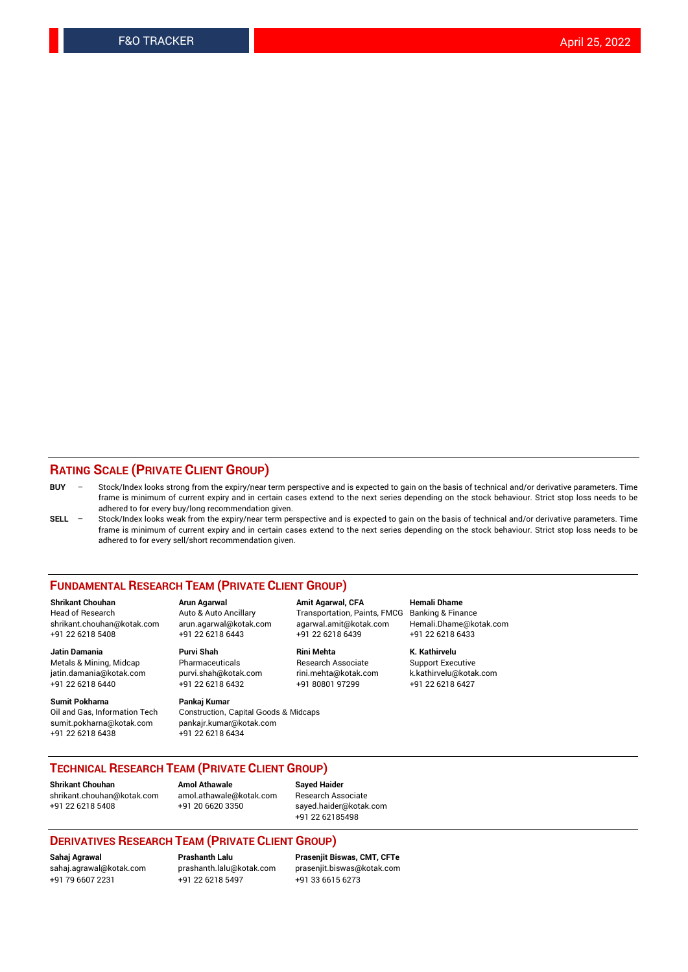### **RATING SCALE (PRIVATE CLIENT GROUP)**

| <b>BUY</b> | Stock/Index looks strong from the expiry/near term perspective and is expected to gain on the basis of technical and/or derivative parameters. Time |
|------------|-----------------------------------------------------------------------------------------------------------------------------------------------------|
|            | frame is minimum of current expiry and in certain cases extend to the next series depending on the stock behaviour. Strict stop loss needs to be    |
|            | adhered to for every buy/long recommendation given.                                                                                                 |

**SELL** – Stock/Index looks weak from the expiry/near term perspective and is expected to gain on the basis of technical and/or derivative parameters. Time frame is minimum of current expiry and in certain cases extend to the next series depending on the stock behaviour. Strict stop loss needs to be adhered to for every sell/short recommendation given.

#### **FUNDAMENTAL RESEARCH TEAM (PRIVATE CLIENT GROUP)**

**Shrikant Chouhan Arun Agarwal Amit Agarwal, CFA Hemali Dhame** shrikant.chouhan@kotak.com arun.agarwal@kotak.com agarwal.amit@kotak.com Hemali.Dhame@kotak.com +91 22 6218 5408 +91 22 6218 6443 +91 22 6218 6439 +91 22 6218 6433

Metals & Mining, Midcap Pharmaceuticals Pharmaceuticals Research Associate Support Executive<br>http://windamania@kotak.com purvi.shah@kotak.com rini.mehta@kotak.com k.kathirvelu@kotak.com jatin.damania@kotak.com

**Sumit Pokharna** Pankaj Kumar<br>Oil and Gas, Information Tech Construction, Q sumit.pokharna@kotak.com pankajr.kumar@kotak.com +91 22 6218 6438 +91 22 6218 6434

**Jatin Damania Purvi Shah Rini Mehta K. Kathirvelu**

Construction, Capital Goods & Midcaps

Transportation, Paints, FMCG Banking & Finance

+91 22 6218 6440 +91 22 6218 6432 +91 80801 97299 +91 22 6218 6427

#### **TECHNICAL RESEARCH TEAM (PRIVATE CLIENT GROUP)**

[shrikant.chouhan@kotak.com](mailto:shrikant.chouhan@kotak.com) [amol.athawale@kotak.com](mailto:amol.athawale@kotak.com) Research Associate +91 22 6218 5408 +91 20 6620 3350 [sayed.haider@kotak.com](mailto:sayed.haider@kotak.com)

**Shrikant Chouhan Amol Athawale Sayed Haider**

+91 22 62185498

#### **DERIVATIVES RESEARCH TEAM (PRIVATE CLIENT GROUP)**

+91 79 6607 2231 +91 22 6218 5497 +91 33 6615 6273

**Sahaj Agrawal Prashanth Lalu Prasenjit Biswas, CMT, CFTe** [prasenjit.biswas@kotak.com](mailto:prasenjit.biswas@kotak.com)